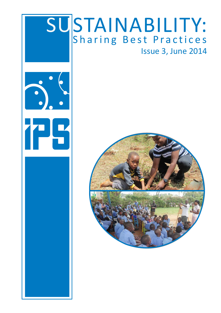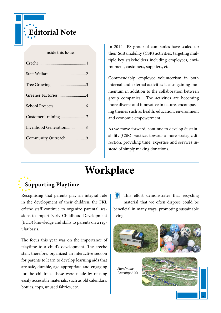

#### Inside this Issue:

| Greener Factories4     |
|------------------------|
|                        |
| Customer Training7     |
| Livelihood Generation8 |
| Community Outreach9    |
|                        |

In 2014, IPS group of companies have scaled up their Sustainability (CSR) activities, targeting multiple key stakeholders including employees, environment, customers, suppliers, etc.

Commendably, employee volunteerism in both internal and external activities is also gaining momentum in addition to the collaboration between group companies. The activities are becoming more diverse and innovative in nature, encompassing themes such as health, education, environment and economic empowerment.

As we move forward, continue to develop Sustainability (CSR) practices towards a more strategic direction; providing time, expertise and services instead of simply making donations.

## **Workplace**

### **Supporting Playtime**

Recognising that parents play an integral role in the development of their children, the FKL crèche staff continue to organize parental sessions to impart Early Childhood Development (ECD) knowledge and skills to parents on a regular basis.

The focus this year was on the importance of playtime to a child's development. The crèche staff, therefore, organized an interactive session for parents to learn to develop learning aids that are safe, durable, age-appropriate and engaging for the children. These were made by reusing easily accessible materials, such as old calendars, bottles, tops, unused fabrics, etc.

This effort demonstrates that recycling material that we often dispose could be beneficial in many ways, promoting sustainable living.





*Handmade Learning Aids*

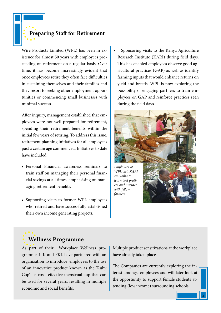**Preparing Staff for Retirement** 

Wire Products Limited (WPL) has been in existence for almost 50 years with employees proceeding on retirement on a regular basis. Over time, it has become increasingly evident that once employees retire they often face difficulties in sustaining themselves and their families and they resort to seeking other employment opportunities or commencing small businesses with minimal success.

After inquiry, management established that employees were not well prepared for retirement, spending their retirement benefits within the initial few years of retiring. To address this issue, retirement planning initiatives for all employees past a certain age commenced. Initiatives to date have included:

- Personal Financial awareness seminars to train staff on managing their personal financial savings at all times, emphasising on managing retirement benefits.
- Supporting visits to former WPL employees who retired and have successfully established their own income generating projects.

• Sponsoring visits to the Kenya Agriculture Research Institute (KARI) during field days. This has enabled employees observe good agricultural practices (GAP) as well as identify farming inputs that would enhance returns on yield and breeds. WPL is now exploring the possibility of engaging partners to train employees on GAP and reinforce practices seen during the field days.



*Employees of WPL visit KARI, Naivasha to learn best pratices and interact with fellow farmers*



## **Wellness Programme**

As part of their Workplace Wellness programme, LIK and FKL have partnered with an organization to introduce employees to the use of an innovative product known as the 'Ruby Cup' - a cost- effective menstrual cup that can be used for several years, resulting in multiple economic and social benefits.

Multiple product sensitizations at the workplace have already taken place.

The Companies are currently exploring the interest amongst employees and will later look at the opportunity to support female students attending (low income) surrounding schools.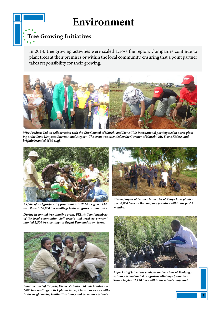## **Environment**

### **Tree Growing Initiatives**

In 2014, tree growing activities were scaled across the region. Companies continue to plant trees at their premises or within the local community, ensuring that a point partner takes responsibility for their growing.



*Wire Products Ltd. in collaboration with the City Council of Nairobi and Lions Club International participated in a tree planting at the Jomo Kenyatta International Airport. The event was attended by the Govenor of Nairobi, Mr. Evans Kidero, and brightly branded WPL staff.*



*As part of its Agro-forestry programme, in 2014, Frigoken Ltd. distributed 150,000 tree seedlings to the outgrower community.* 

*During its annual tree planting event, FKL staff and members of the local community, civil society and local government planted 2,500 tree seedlings at Ragati Dam and its environs.* 



*Since the start of the year, Farmers' Choice Ltd. has planted over 6000 tree seedlings at its Uplands Farm, Limuru as well as within the neighbouring Gaithaiti Primary and Secondary Schools.*



*The employees of Leather Industries of Kenya have planted over 6,000 trees on the company premises within the past 5 months.* 



*Allpack staff joined the students and teachers of Mlolongo Primary School and St. Augustine Mlolongo Secondary School to plant 2,130 trees within the school compound.*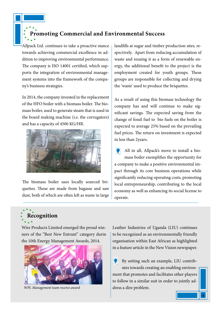#### **Promoting Commercial and Environmental Success**

Allpack Ltd. continues to take a proactive stance towards achieving commercial excellence in addition to improving environmental performance. The company is ISO 14001 certified, which supports the integration of environmental management systems into the framework of the company's business strategies.

In 2014, the company invested in the replacement of the HFO boiler with a biomass boiler. The biomass boiler, used to generate steam that is used in the board making machine (i.e. the corrugators) and has a capacity of 4500 KG/HR.



The biomass boiler uses locally sourced briquettes. These are made from bagasse and saw dust, both of which are often left as waste in large landfills at sugar and timber production sites, respectively. Apart from reducing accumulation of waste and reusing it as a form of renewable energy, the additional benefit to the project is the employment created for youth groups. These groups are responsible for collecting and drying the 'waste' used to produce the briquettes.

As a result of using this biomass technology the company has and will continue to make significant savings. The expected saving from the change of fossil fuel to bio fuels on the boiler is expected to average 25% based on the prevailing fuel prices. The return on investment is expected in less than 2years.

All in all, Allpack's move to install a biomass boiler exemplifies the opportunity for a company to make a positive environmental impact through its core business operations while significantly reducing operating costs, promoting local entrepreneurship, contributing to the local economy as well as enhancing its social license to operate.

# **Recognition**

Wire Products Limited emerged the proud winners of the "Best New Entrant" category durin the 10th Energy Management Awards, 2014.



*WPL Management team receive award*

Leather Industries of Uganda (LIU) continues to be recognized as an environmentally friendly organisation within East African as highlighted in a feature article in the New Vision newspaper.

By setting such an example, LIU contributes towards creating an enabling environment that promotes and facilitates other players to follow in a similar suit in order to jointly address a dire problem.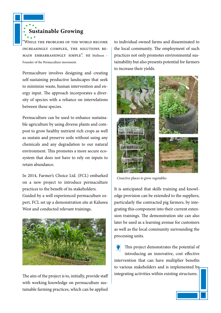**Sustainable Growing**

WHILE THE PROBLEMS OF THE WORLD BECOME increasingly complex, the solutions remain embarrassingly simple". Bill Mollison – Founder of the Permaculture movement.

Permaculture involves designing and creating self-sustaining productive landscapes that seek to minimize waste, human intervention and energy input. The approach incorporates a diversity of species with a reliance on interrelations between these species.

Permaculture can be used to enhance sustainable agriculture by using diverse plants and compost to grow healthy nutrient rich crops as well as sustain and preserve soils without using any chemicals and any degradation to our natural environment. This promotes a more secure ecosystem that does not have to rely on inputs to retain abundance.

In 2014, Farmer's Choice Ltd. (FCL) embarked on a new project to introduce permaculture practices to the benefit of its stakeholders. Guided by a well experienced permaculture expert, FCL set up a demonstration site at Kahawa West and conducted relevant trainings.



The aim of the project is to, initially, provide staff with working knowledge on permaculture sustainable farming practices, which can be applied

to individual owned farms and disseminated to the local community. The employment of such practices not only promotes environmental sustainability but also presents potential for farmers to increase their yields.



*Creactive places to grow vegetables*

It is anticipated that skills training and knowledge provision can be extended to the suppliers, particularly the contracted pig farmers, by integrating this component into their current extension trainings. The demonstration site can also later be used as a learning avenue for customers as well as the local community surrounding the processing units.

This project demonstrates the potential of introducing an innovative, cost effective intervention that can have multiplier benefits to various stakeholders and is implemented by integrating activities within existing structures.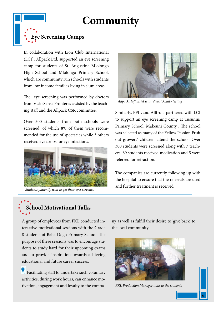# **Community**



In collaboration with Lion Club International (LCI), Allpack Ltd. supported an eye screening camp for students of St. Augustine Mlolongo High School and Mlolongo Primary School, which are community run schools with students from low income families living in slum areas.

The eye screening was performed by doctors from Visio Sense Fronteres assisted by the teaching staff and the Allpack CSR committee.

Over 300 students from both schools were screened, of which 8% of them were recommended for the use of spectacles while 3 others received eye drops for eye infections.



*Students patiently wait to get their eyes screened*



*Allpack staff assist with Visual Acuity testing* 

Similarly, PFIL and Allfruit partnered with LCI to support an eye screening camp at Tusunini Primary School, Makeuni County . The school was selected as many of the Yellow Passion Fruit out growers' children attend the school. Over 300 students were screened along with 7 teachers. 89 students received medication and 5 were referred for refraction.

The companies are currently following up with the hospital to ensure that the referrals are used and further treatment is received.

# **School Motivational Talks**

A group of employees from FKL conducted interactive motivational sessions with the Grade 8 students of Baba Dogo Primary School. The purpose of these sessions was to encourage students to study hard for their upcoming exams and to provide inspiration towards achieving educational and future career success.

 Facilitating staff to undertake such voluntary activities, during work hours, can enhance motivation, engagement and loyalty to the company as well as fulfill their desire to 'give back' to the local community.



*FKL Production Manager talks to the students*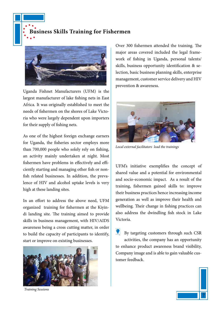**Business Skills Training for Fishermen**



Uganda Fishnet Manufacturers (UFM) is the largest manufacturer of lake fishing nets in East Africa. It was originally established to meet the needs of fishermen on the shores of Lake Victoria who were largely dependent upon importers for their supply of fishing nets.

As one of the highest foreign exchange earners for Uganda, the fisheries sector employs more than 700,000 people who solely rely on fishing, an activity mainly undertaken at night. Most fishermen have problems in effectively and efficiently starting and managing other fish or nonfish related businesses. In addition, the prevalence of HIV and alcohol uptake levels is very high at these landing sites.

In an effort to address the above need, UFM organized training for fishermen at the Kiyindi landing site. The training aimed to provide skills in business management, with HIV/AIDS awareness being a cross cutting matter, in order to build the capacity of participants to identify, start or improve on existing businesses.



*Training Sessions*

Over 300 fishermen attended the training. The major areas covered included the legal framework of fishing in Uganda, personal talents/ skills, business opportunity identification & selection, basic business planning skills, enterprise management, customer service delivery and HIV prevention & awareness.



*Local external facilitators lead the trainings*

UFM's initiative exemplifies the concept of shared value and a potential for environmental and socio-economic impact. As a result of the training, fishermen gained skills to: improve their business practices hence increasing income generation as well as improve their health and wellbeing. Their change in fishing practices can also address the dwindling fish stock in Lake Victoria.

 $\bullet$ By targeting customers through such CSR activities, the company has an opportunity to enhance product awareness brand visibility, Company image and is able to gain valuable customer feedback.

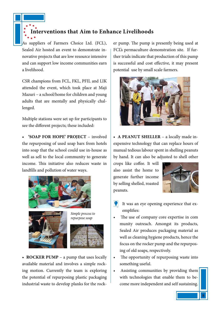**Interventions that Aim to Enhance Livelihoods**

As suppliers of Farmers Choice Ltd. (FCL), Sealed Air hosted an event to demonstrate innovative projects that are low resource intensive and can support low income communities earn a livelihood.

CSR champions from FCL, FKL, PFIL and LIK attended the event, which took place at Maji Mazuri – a school/home for children and young adults that are mentally and physically challenged.

Multiple stations were set up for participants to see the different projects; these included:

**• 'SOAP FOR HOPE' PROJECT** – involved the repurposing of used soap bars from hotels into soap that the school could use in-house as well as sell to the local community to generate income. This initiative also reduces waste in landfills and pollution of water ways.









**• ROCKER PUMP** – a pump that uses locally available material and involves a simple rocking motion. Currently the team is exploring the potential of repurposing plastic packaging industrial waste to develop planks for the rocker pump. The pump is presently being used at FCL's permaculture demonstration site. If further trials indicate that production of this pump is successful and cost effective, it may present potential use by small scale farmers.



**• A PEANUT SHELLER** – a locally made inexpensive technology that can replace hours of manual tedious labour spent in shelling peanuts by hand. It can also be adjusted to shell other

crops like coffee. It will also assist the home to generate further income by selling shelled, roasted peanuts.



- It was an eye opening experience that exemplifies:
- The use of company core expertise in com munity outreach. Amongst its products, Sealed Air produces packaging material as well as cleaning hygiene products, hence the focus on the rocker pump and the repurposing of old soaps, respectively.
- The opportunity of repurposing waste into something useful.
- Assisting communities by providing them with technologies that enable them to become more independent and self sustaining.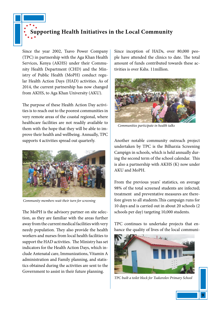# **Supporting Health Initiatives in the Local Community**

Since the year 2002, Tsavo Power Company (TPC) in partnership with the Aga Khan Health Services, Kenya (AKHS) under their Community Health Department (CHD) and the Ministry of Public Health (MoPH) conduct regular Health Action Days (HAD) activities. As of 2014, the current partnership has now changed from AKHS, to Aga Khan University (AKU).

The purpose of these Health Action Day activities is to reach out to the poorest communities in very remote areas of the coastal regional, where healthcare facilities are not readily available to them with the hope that they will be able to improve their health and wellbeing. Annually, TPC supports 4 activities spread out quarterly.



*Community members wait their turn for screening*

The MoPH is the advisory partner on site selection, as they are familiar with the areas further away from the current medical facilities with very needy population. They also provide the health workers and nurses from local health facilities to support the HAD activities. The Ministry has set indicators for the Health Action Days, which include Antenatal care, Immunizations, Vitamin A administration and Family planning, and statistics obtained during the activities are sent to the Government to assist in their future planning.

Since inception of HADs, over 80,000 people have attended the clinics to date. The total amount of funds contributed towards these activities is over Kshs. 11million.



*Communities participate in health talks*

Another notable community outreach project undertaken by TPC is the Bilharzia Screening Campign in schools, which is held annually during the second term of the school calendar. This is also a partnership with AKHS (K) now under AKU and MoPH.

From the previous years' statistics, on average 98% of the total screened students are infected; treatment and preventative measures are therefore given to all students.This campaign runs for 10 days and is carried out in about 20 schools (2 schools per day) targeting 10,000 students.

TPC continues to undertake projects that enhance the quality of lives of the local communi-



*TPC built a toilet block for Tsakorolov Primary School*